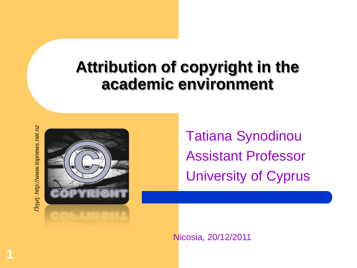#### **Attribution of copyright in the academic environment**

Tinyń: http://www.topnews.net.nz *Πηγή: http://www.topnews.net.nz*

**1**



Tatiana Synodinou Assistant Professor University of Cyprus

Nicosia, 20/12/2011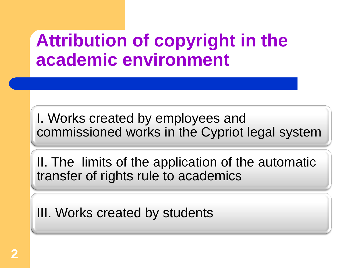# **Attribution of copyright in the academic environment**

I. Works created by employees and commissioned works in the Cypriot legal system

II. The limits of the application of the automatic transfer of rights rule to academics

III. Works created by students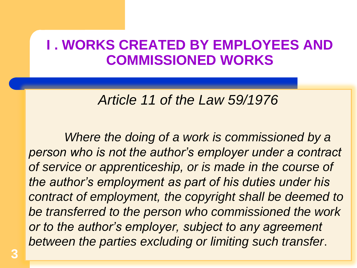#### **I . WORKS CREATED BY EMPLOYEES AND COMMISSIONED WORKS**

#### *Article 11 of the Law 59/1976*

*Where the doing of a work is commissioned by a person who is not the author's employer under a contract of service or apprenticeship, or is made in the course of the author's employment as part of his duties under his contract of employment, the copyright shall be deemed to be transferred to the person who commissioned the work or to the author's employer, subject to any agreement between the parties excluding or limiting such transfer*.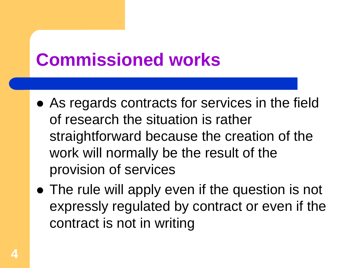# **Commissioned works**

- As regards contracts for services in the field of research the situation is rather straightforward because the creation of the work will normally be the result of the provision of services
- The rule will apply even if the question is not expressly regulated by contract or even if the contract is not in writing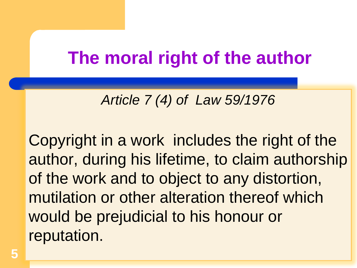# **The moral right of the author**

#### *Article 7 (4) of Law 59/1976*

Copyright in a work includes the right of the author, during his lifetime, to claim authorship of the work and to object to any distortion, mutilation or other alteration thereof which would be prejudicial to his honour or reputation.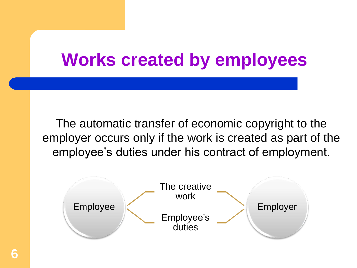# **Works created by employees**

The automatic transfer of economic copyright to the employer occurs only if the work is created as part of the employee's duties under his contract of employment.

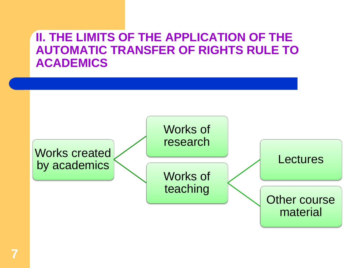#### **II. THE LIMITS OF THE APPLICATION OF THE AUTOMATIC TRANSFER OF RIGHTS RULE TO ACADEMICS**

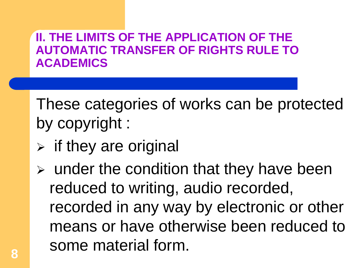#### **II. THE LIMITS OF THE APPLICATION OF THE AUTOMATIC TRANSFER OF RIGHTS RULE TO ACADEMICS**

These categories of works can be protected by copyright :

- $\triangleright$  if they are original
- $\triangleright$  under the condition that they have been reduced to writing, audio recorded, recorded in any way by electronic or other means or have otherwise been reduced to some material form.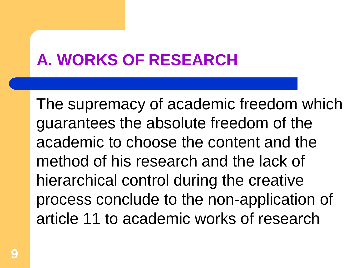## **A. WORKS OF RESEARCH**

The supremacy of academic freedom which guarantees the absolute freedom of the academic to choose the content and the method of his research and the lack of hierarchical control during the creative process conclude to the non-application of article 11 to academic works of research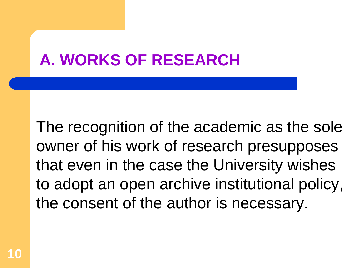### **A. WORKS OF RESEARCH**

The recognition of the academic as the sole owner of his work of research presupposes that even in the case the University wishes to adopt an open archive institutional policy, the consent of the author is necessary.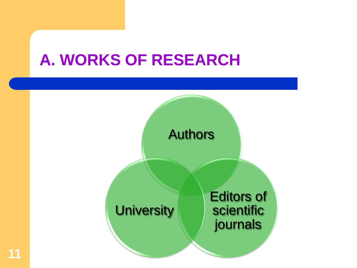#### **A. WORKS OF RESEARCH**

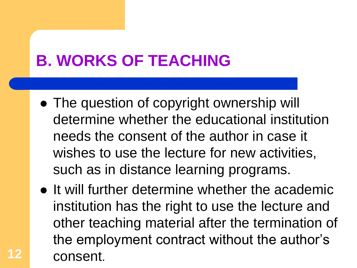# **B. WORKS OF TEACHING**

**12**

- The question of copyright ownership will determine whether the educational institution needs the consent of the author in case it wishes to use the lecture for new activities, such as in distance learning programs.
- It will further determine whether the academic institution has the right to use the lecture and other teaching material after the termination of the employment contract without the author's consent.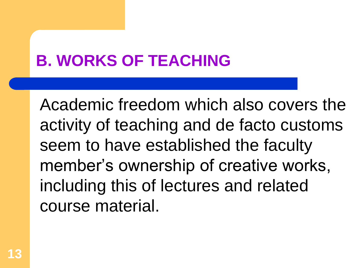# **B. WORKS OF TEACHING**

Academic freedom which also covers the activity of teaching and de facto customs seem to have established the faculty member's ownership of creative works, including this of lectures and related course material.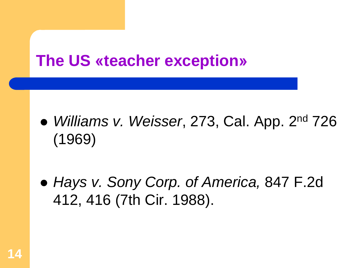#### **The US «teacher exception»**

- *Williams v. Weisser*, 273, Cal. App. 2nd 726 (1969)
- *Hays v. Sony Corp. of America,* 847 F.2d 412, 416 (7th Cir. 1988).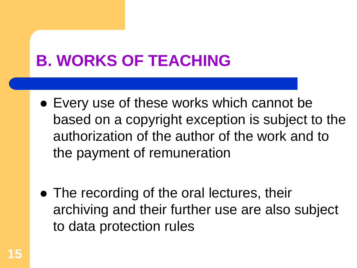# **B. WORKS OF TEACHING**

- Every use of these works which cannot be based on a copyright exception is subject to the authorization of the author of the work and to the payment of remuneration
- The recording of the oral lectures, their archiving and their further use are also subject to data protection rules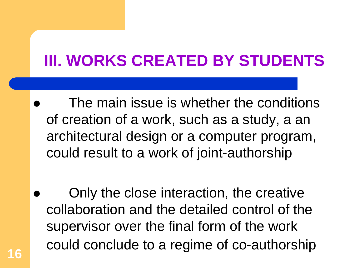# **III. WORKS CREATED BY STUDENTS**

- The main issue is whether the conditions of creation of a work, such as a study, a an architectural design or a computer program, could result to a work of joint-authorship
- Only the close interaction, the creative collaboration and the detailed control of the supervisor over the final form of the work could conclude to a regime of co-authorship